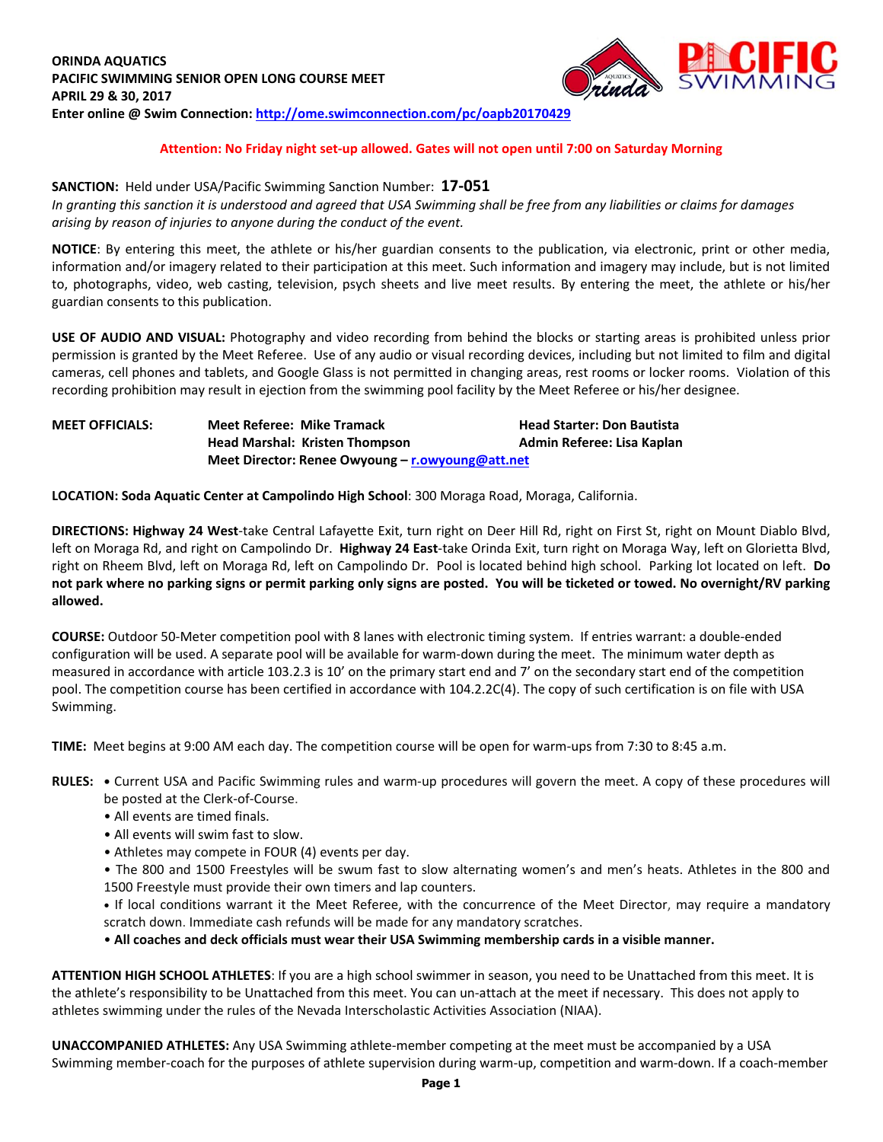

### **Attention: No Friday night set-up allowed. Gates will not open until 7:00 on Saturday Morning**

### **SANCTION:** Held under USA/Pacific Swimming Sanction Number: **17-051**

*In granting this sanction it is understood and agreed that USA Swimming shall be free from any liabilities or claims for damages arising by reason of injuries to anyone during the conduct of the event.*

**NOTICE**: By entering this meet, the athlete or his/her guardian consents to the publication, via electronic, print or other media, information and/or imagery related to their participation at this meet. Such information and imagery may include, but is not limited to, photographs, video, web casting, television, psych sheets and live meet results. By entering the meet, the athlete or his/her guardian consents to this publication.

**USE OF AUDIO AND VISUAL:** Photography and video recording from behind the blocks or starting areas is prohibited unless prior permission is granted by the Meet Referee. Use of any audio or visual recording devices, including but not limited to film and digital cameras, cell phones and tablets, and Google Glass is not permitted in changing areas, rest rooms or locker rooms. Violation of this recording prohibition may result in ejection from the swimming pool facility by the Meet Referee or his/her designee.

# **MEET OFFICIALS: Meet Referee: Mike Tramack Head Starter: Don Bautista Head Marshal: Kristen Thompson Admin Referee: Lisa Kaplan Meet Director: Renee Owyoung – [r.owyoung@att.net](mailto:r.owyoung@att.net)**

**LOCATION: Soda Aquatic Center at Campolindo High School**: 300 Moraga Road, Moraga, California.

**DIRECTIONS: Highway 24 West**-take Central Lafayette Exit, turn right on Deer Hill Rd, right on First St, right on Mount Diablo Blvd, left on Moraga Rd, and right on Campolindo Dr. **Highway 24 East**-take Orinda Exit, turn right on Moraga Way, left on Glorietta Blvd, right on Rheem Blvd, left on Moraga Rd, left on Campolindo Dr. Pool is located behind high school. Parking lot located on left. **Do not park where no parking signs or permit parking only signs are posted. You will be ticketed or towed. No overnight/RV parking allowed.**

**COURSE:** Outdoor 50-Meter competition pool with 8 lanes with electronic timing system. If entries warrant: a double-ended configuration will be used. A separate pool will be available for warm-down during the meet. The minimum water depth as measured in accordance with article 103.2.3 is 10' on the primary start end and 7' on the secondary start end of the competition pool. The competition course has been certified in accordance with 104.2.2C(4). The copy of such certification is on file with USA Swimming.

**TIME:** Meet begins at 9:00 AM each day. The competition course will be open for warm-ups from 7:30 to 8:45 a.m.

- **RULES: •** Current USA and Pacific Swimming rules and warm-up procedures will govern the meet. A copy of these procedures will be posted at the Clerk-of-Course.
	- All events are timed finals.
	- All events will swim fast to slow.
	- Athletes may compete in FOUR (4) events per day.
	- The 800 and 1500 Freestyles will be swum fast to slow alternating women's and men's heats. Athletes in the 800 and 1500 Freestyle must provide their own timers and lap counters.

**•** If local conditions warrant it the Meet Referee, with the concurrence of the Meet Director, may require a mandatory scratch down. Immediate cash refunds will be made for any mandatory scratches.

• **All coaches and deck officials must wear their USA Swimming membership cards in a visible manner.**

**ATTENTION HIGH SCHOOL ATHLETES**: If you are a high school swimmer in season, you need to be Unattached from this meet. It is the athlete's responsibility to be Unattached from this meet. You can un-attach at the meet if necessary. This does not apply to athletes swimming under the rules of the Nevada Interscholastic Activities Association (NIAA).

**UNACCOMPANIED ATHLETES:** Any USA Swimming athlete-member competing at the meet must be accompanied by a USA Swimming member-coach for the purposes of athlete supervision during warm-up, competition and warm-down. If a coach-member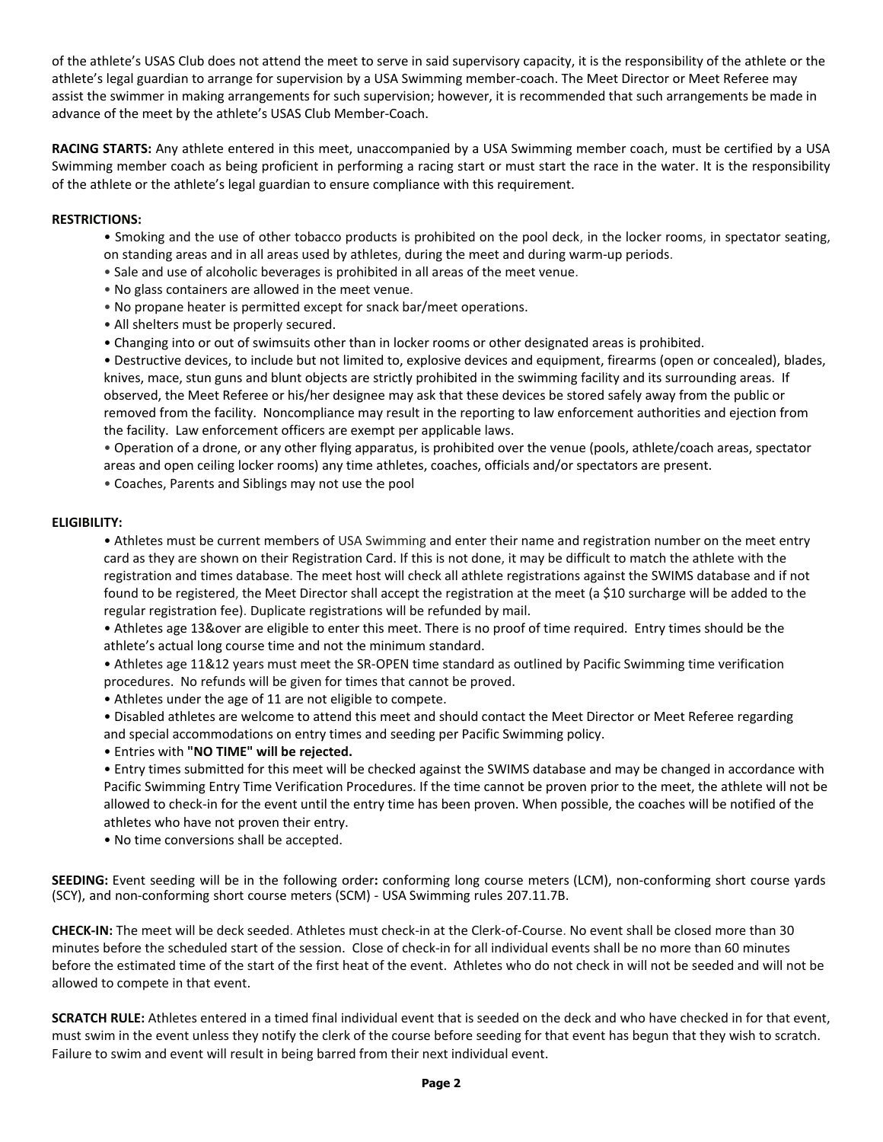of the athlete's USAS Club does not attend the meet to serve in said supervisory capacity, it is the responsibility of the athlete or the athlete's legal guardian to arrange for supervision by a USA Swimming member-coach. The Meet Director or Meet Referee may assist the swimmer in making arrangements for such supervision; however, it is recommended that such arrangements be made in advance of the meet by the athlete's USAS Club Member-Coach.

**RACING STARTS:** Any athlete entered in this meet, unaccompanied by a USA Swimming member coach, must be certified by a USA Swimming member coach as being proficient in performing a racing start or must start the race in the water. It is the responsibility of the athlete or the athlete's legal guardian to ensure compliance with this requirement.

### **RESTRICTIONS:**

- Smoking and the use of other tobacco products is prohibited on the pool deck, in the locker rooms, in spectator seating, on standing areas and in all areas used by athletes, during the meet and during warm-up periods.
- Sale and use of alcoholic beverages is prohibited in all areas of the meet venue.
- No glass containers are allowed in the meet venue.
- No propane heater is permitted except for snack bar/meet operations.
- All shelters must be properly secured.
- Changing into or out of swimsuits other than in locker rooms or other designated areas is prohibited.

• Destructive devices, to include but not limited to, explosive devices and equipment, firearms (open or concealed), blades, knives, mace, stun guns and blunt objects are strictly prohibited in the swimming facility and its surrounding areas. If observed, the Meet Referee or his/her designee may ask that these devices be stored safely away from the public or removed from the facility. Noncompliance may result in the reporting to law enforcement authorities and ejection from the facility. Law enforcement officers are exempt per applicable laws.

• Operation of a drone, or any other flying apparatus, is prohibited over the venue (pools, athlete/coach areas, spectator areas and open ceiling locker rooms) any time athletes, coaches, officials and/or spectators are present.

• Coaches, Parents and Siblings may not use the pool

#### **ELIGIBILITY:**

• Athletes must be current members of USA Swimming and enter their name and registration number on the meet entry card as they are shown on their Registration Card. If this is not done, it may be difficult to match the athlete with the registration and times database. The meet host will check all athlete registrations against the SWIMS database and if not found to be registered, the Meet Director shall accept the registration at the meet (a \$10 surcharge will be added to the regular registration fee). Duplicate registrations will be refunded by mail.

• Athletes age 13&over are eligible to enter this meet. There is no proof of time required. Entry times should be the athlete's actual long course time and not the minimum standard.

• Athletes age 11&12 years must meet the SR-OPEN time standard as outlined by Pacific Swimming time verification procedures. No refunds will be given for times that cannot be proved.

• Athletes under the age of 11 are not eligible to compete.

• Disabled athletes are welcome to attend this meet and should contact the Meet Director or Meet Referee regarding and special accommodations on entry times and seeding per Pacific Swimming policy.

• Entries with **"NO TIME" will be rejected.**

• Entry times submitted for this meet will be checked against the SWIMS database and may be changed in accordance with Pacific Swimming Entry Time Verification Procedures. If the time cannot be proven prior to the meet, the athlete will not be allowed to check-in for the event until the entry time has been proven. When possible, the coaches will be notified of the athletes who have not proven their entry.

• No time conversions shall be accepted.

**SEEDING:** Event seeding will be in the following order**:** conforming long course meters (LCM), non-conforming short course yards (SCY), and non-conforming short course meters (SCM) - USA Swimming rules 207.11.7B.

**CHECK-IN:** The meet will be deck seeded. Athletes must check-in at the Clerk-of-Course. No event shall be closed more than 30 minutes before the scheduled start of the session. Close of check-in for all individual events shall be no more than 60 minutes before the estimated time of the start of the first heat of the event. Athletes who do not check in will not be seeded and will not be allowed to compete in that event.

**SCRATCH RULE:** Athletes entered in a timed final individual event that is seeded on the deck and who have checked in for that event, must swim in the event unless they notify the clerk of the course before seeding for that event has begun that they wish to scratch. Failure to swim and event will result in being barred from their next individual event.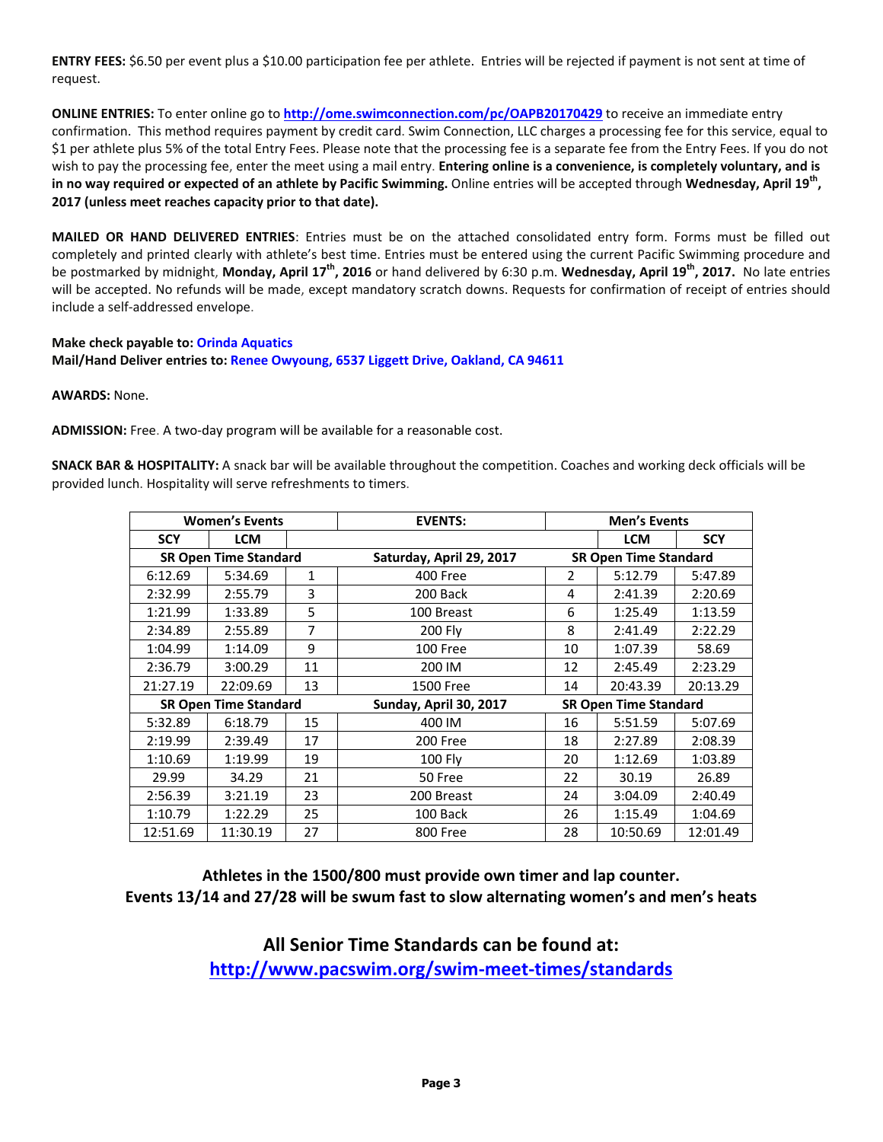**ENTRY FEES:** \$6.50 per event plus a \$10.00 participation fee per athlete. Entries will be rejected if payment is not sent at time of request.

**ONLINE ENTRIES:** To enter online go to **<http://ome.swimconnection.com/pc/OAPB20170429>** to receive an immediate entry confirmation. This method requires payment by credit card. Swim Connection, LLC charges a processing fee for this service, equal to \$1 per athlete plus 5% of the total Entry Fees. Please note that the processing fee is a separate fee from the Entry Fees. If you do not wish to pay the processing fee, enter the meet using a mail entry. **Entering online is a convenience, is completely voluntary, and is in no way required or expected of an athlete by Pacific Swimming.** Online entries will be accepted through **Wednesday, April 19th , 2017 (unless meet reaches capacity prior to that date).**

**MAILED OR HAND DELIVERED ENTRIES**: Entries must be on the attached consolidated entry form. Forms must be filled out completely and printed clearly with athlete's best time. Entries must be entered using the current Pacific Swimming procedure and be postmarked by midnight, **Monday, April 17th , 2016** or hand delivered by 6:30 p.m. **Wednesday, April 19th, 2017.** No late entries will be accepted. No refunds will be made, except mandatory scratch downs. Requests for confirmation of receipt of entries should include a self-addressed envelope.

# **Make check payable to: Orinda Aquatics Mail/Hand Deliver entries to: Renee Owyoung, 6537 Liggett Drive, Oakland, CA 94611**

**AWARDS:** None.

**ADMISSION:** Free. A two-day program will be available for a reasonable cost.

**SNACK BAR & HOSPITALITY:** A snack bar will be available throughout the competition. Coaches and working deck officials will be provided lunch. Hospitality will serve refreshments to timers.

|                              | <b>Women's Events</b> |                | <b>EVENTS:</b>           |                              | <b>Men's Events</b>          |            |  |  |
|------------------------------|-----------------------|----------------|--------------------------|------------------------------|------------------------------|------------|--|--|
| <b>SCY</b>                   | <b>LCM</b>            |                |                          |                              | <b>LCM</b>                   | <b>SCY</b> |  |  |
| <b>SR Open Time Standard</b> |                       |                | Saturday, April 29, 2017 |                              | <b>SR Open Time Standard</b> |            |  |  |
| 6:12.69                      | 5:34.69               | 1              | 400 Free                 | $\overline{2}$               | 5:12.79                      | 5:47.89    |  |  |
| 2:32.99                      | 2:55.79               | 3              | 200 Back                 | 4                            | 2:41.39                      | 2:20.69    |  |  |
| 1:21.99                      | 1:33.89               | 5              | 100 Breast               | 6                            | 1:25.49                      | 1:13.59    |  |  |
| 2:34.89                      | 2:55.89               | $\overline{7}$ | 200 Fly                  | 8                            | 2:41.49                      | 2:22.29    |  |  |
| 1:04.99                      | 1:14.09               | 9              | 100 Free                 | 10                           | 1:07.39                      | 58.69      |  |  |
| 2:36.79                      | 3:00.29               | 11             | 200 IM                   | 12                           | 2:45.49                      | 2:23.29    |  |  |
| 21:27.19                     | 22:09.69              | 13             | 1500 Free                | 14                           | 20:43.39                     | 20:13.29   |  |  |
| <b>SR Open Time Standard</b> |                       |                | Sunday, April 30, 2017   | <b>SR Open Time Standard</b> |                              |            |  |  |
| 5:32.89                      | 6:18.79               | 15             | 400 IM                   | 16                           | 5:51.59                      | 5:07.69    |  |  |
| 2:19.99                      | 2:39.49               | 17             | 200 Free                 | 18                           | 2:27.89                      | 2:08.39    |  |  |
| 1:10.69                      | 1:19.99               | 19             | 100 Fly                  | 20                           | 1:12.69                      | 1:03.89    |  |  |
| 29.99                        | 34.29                 | 21             | 50 Free                  | 22                           | 30.19                        | 26.89      |  |  |
| 2:56.39                      | 3:21.19               | 23             | 200 Breast               | 24                           | 3:04.09                      | 2:40.49    |  |  |
| 1:10.79                      | 1:22.29               | 25             | 100 Back                 | 26                           | 1:15.49                      | 1:04.69    |  |  |
| 12:51.69                     | 11:30.19              | 27             | 800 Free                 | 28                           | 10:50.69                     | 12:01.49   |  |  |

**Athletes in the 1500/800 must provide own timer and lap counter. Events 13/14 and 27/28 will be swum fast to slow alternating women's and men's heats**

> **All Senior Time Standards can be found at: <http://www.pacswim.org/swim-meet-times/standards>**